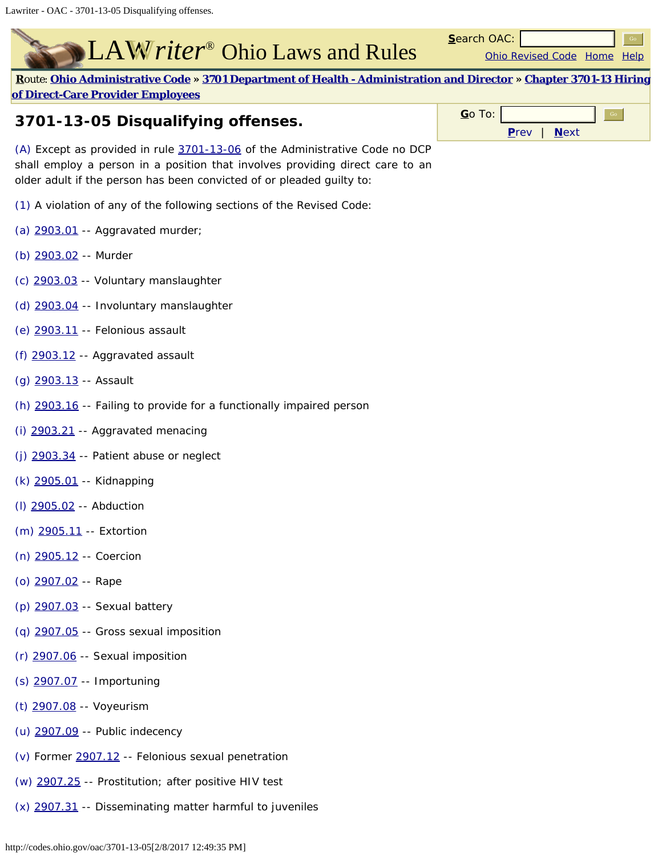## LAW riter<sup>®</sup> Ohio Laws and Rules

**[R](javascript:;)**[oute](javascript:;): **[Ohio Administrative Code](http://codes.ohio.gov/oac) » [3701 Department of Health - Administration and Director](http://codes.ohio.gov/oac/3701) » [Chapter 3701-13 Hiring](http://codes.ohio.gov/oac/3701-13) [of Direct-Care Provider Employees](http://codes.ohio.gov/oac/3701-13)**

## **3701-13-05 Disqualifying offenses.**

(A) Except as provided in rule [3701-13-06](http://codes.ohio.gov/oac/3701-13-06) of the Administrative Code no DCP shall employ a person in a position that involves providing direct care to an older adult if the person has been convicted of or pleaded guilty to:

- (1) A violation of any of the following sections of the Revised Code:
- (a) [2903.01](http://codes.ohio.gov/orc/2903.01) -- Aggravated murder;
- (b) [2903.02](http://codes.ohio.gov/orc/2903.02) -- Murder
- (c) [2903.03](http://codes.ohio.gov/orc/2903.03) -- Voluntary manslaughter
- (d) [2903.04](http://codes.ohio.gov/orc/2903.04) -- Involuntary manslaughter
- (e) [2903.11](http://codes.ohio.gov/orc/2903.11) -- Felonious assault
- (f) [2903.12](http://codes.ohio.gov/orc/2903.12) -- Aggravated assault
- (g) [2903.13](http://codes.ohio.gov/orc/2903.13) -- Assault
- (h) [2903.16](http://codes.ohio.gov/orc/2903.16) -- Failing to provide for a functionally impaired person
- (i) [2903.21](http://codes.ohio.gov/orc/2903.21) -- Aggravated menacing
- (j)  $2903.34$  -- Patient abuse or neglect
- (k) [2905.01](http://codes.ohio.gov/orc/2905.01) -- Kidnapping
- (l) [2905.02](http://codes.ohio.gov/orc/2905.02) -- Abduction
- (m) [2905.11](http://codes.ohio.gov/orc/2905.11) -- Extortion
- (n) [2905.12](http://codes.ohio.gov/orc/2905.12) -- Coercion
- (o) [2907.02](http://codes.ohio.gov/orc/2907.02) -- Rape
- (p) [2907.03](http://codes.ohio.gov/orc/2907.03) -- Sexual battery
- (q) [2907.05](http://codes.ohio.gov/orc/2907.05) -- Gross sexual imposition
- (r) [2907.06](http://codes.ohio.gov/orc/2907.06) -- Sexual imposition
- (s) [2907.07](http://codes.ohio.gov/orc/2907.07) -- Importuning
- (t) [2907.08](http://codes.ohio.gov/orc/2907.08) -- Voyeurism
- (u) [2907.09](http://codes.ohio.gov/orc/2907.09) -- Public indecency
- (v) Former [2907.12](http://codes.ohio.gov/orc/2907.12) -- Felonious sexual penetration
- (w) [2907.25](http://codes.ohio.gov/orc/2907.25) -- Prostitution; after positive HIV test
- (x) [2907.31](http://codes.ohio.gov/orc/2907.31) -- Disseminating matter harmful to juveniles

| $Go$ To: |                |  |  |
|----------|----------------|--|--|
|          | $P$ rev   Next |  |  |

[Ohio Revised Code](http://codes.ohio.gov/orc) [Home](http://codes.ohio.gov/) [Help](http://codes.ohio.gov/help.aspx)

**S**earch OAC: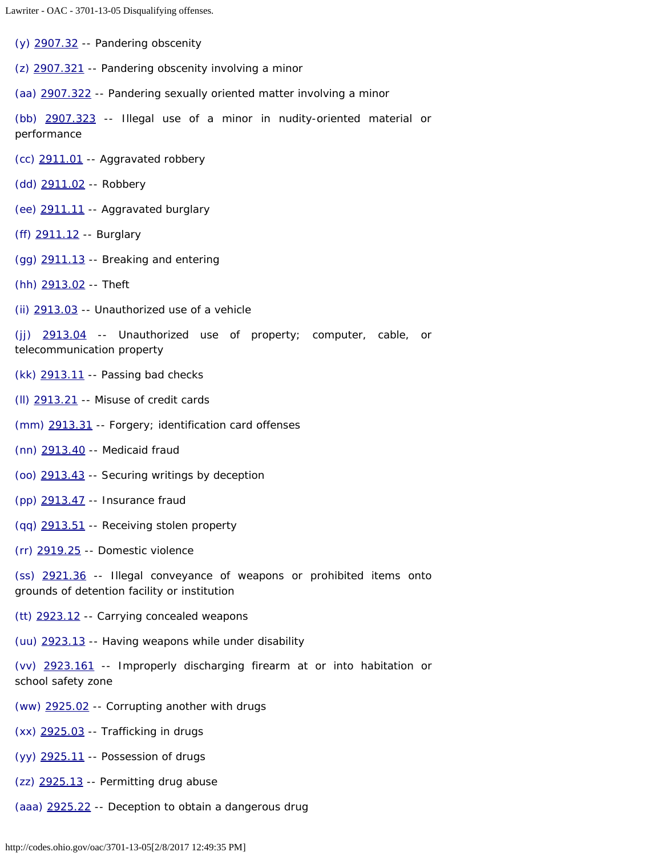Lawriter - OAC - 3701-13-05 Disqualifying offenses.

(y) [2907.32](http://codes.ohio.gov/orc/2907.32) -- Pandering obscenity

(z) [2907.321](http://codes.ohio.gov/orc/2907.321) -- Pandering obscenity involving a minor

(aa) [2907.322](http://codes.ohio.gov/orc/2907.322) -- Pandering sexually oriented matter involving a minor

(bb) [2907.323](http://codes.ohio.gov/orc/2907.323) -- Illegal use of a minor in nudity-oriented material or performance

(cc) [2911.01](http://codes.ohio.gov/orc/2911.01) -- Aggravated robbery

(dd) [2911.02](http://codes.ohio.gov/orc/2911.02) -- Robbery

(ee) [2911.11](http://codes.ohio.gov/orc/2911.11) -- Aggravated burglary

(ff) [2911.12](http://codes.ohio.gov/orc/2911.12) -- Burglary

(gg) [2911.13](http://codes.ohio.gov/orc/2911.13) -- Breaking and entering

(hh) [2913.02](http://codes.ohio.gov/orc/2913.02) -- Theft

(ii) [2913.03](http://codes.ohio.gov/orc/2913.03) -- Unauthorized use of a vehicle

(jj) [2913.04](http://codes.ohio.gov/orc/2913.04) -- Unauthorized use of property; computer, cable, or telecommunication property

(kk) [2913.11](http://codes.ohio.gov/orc/2913.11) -- Passing bad checks

(ll) [2913.21](http://codes.ohio.gov/orc/2913.21) -- Misuse of credit cards

(mm) [2913.31](http://codes.ohio.gov/orc/2913.31) -- Forgery; identification card offenses

(nn) [2913.40](http://codes.ohio.gov/orc/2913.40) -- Medicaid fraud

(oo) [2913.43](http://codes.ohio.gov/orc/2913.43) -- Securing writings by deception

(pp) [2913.47](http://codes.ohio.gov/orc/2913.47) -- Insurance fraud

(qq) [2913.51](http://codes.ohio.gov/orc/2913.51) -- Receiving stolen property

(rr) [2919.25](http://codes.ohio.gov/orc/2919.25) -- Domestic violence

(ss) [2921.36](http://codes.ohio.gov/orc/2921.36) -- Illegal conveyance of weapons or prohibited items onto grounds of detention facility or institution

(tt) [2923.12](http://codes.ohio.gov/orc/2923.12) -- Carrying concealed weapons

(uu) [2923.13](http://codes.ohio.gov/orc/2923.13) -- Having weapons while under disability

(vv) [2923.161](http://codes.ohio.gov/orc/2923.161) -- Improperly discharging firearm at or into habitation or school safety zone

(ww) [2925.02](http://codes.ohio.gov/orc/2925.02) -- Corrupting another with drugs

(xx) [2925.03](http://codes.ohio.gov/orc/2925.03) -- Trafficking in drugs

(yy) [2925.11](http://codes.ohio.gov/orc/2925.11) -- Possession of drugs

 $(zz)$   $2925.13$  -- Permitting drug abuse

(aaa) [2925.22](http://codes.ohio.gov/orc/2925.22) -- Deception to obtain a dangerous drug